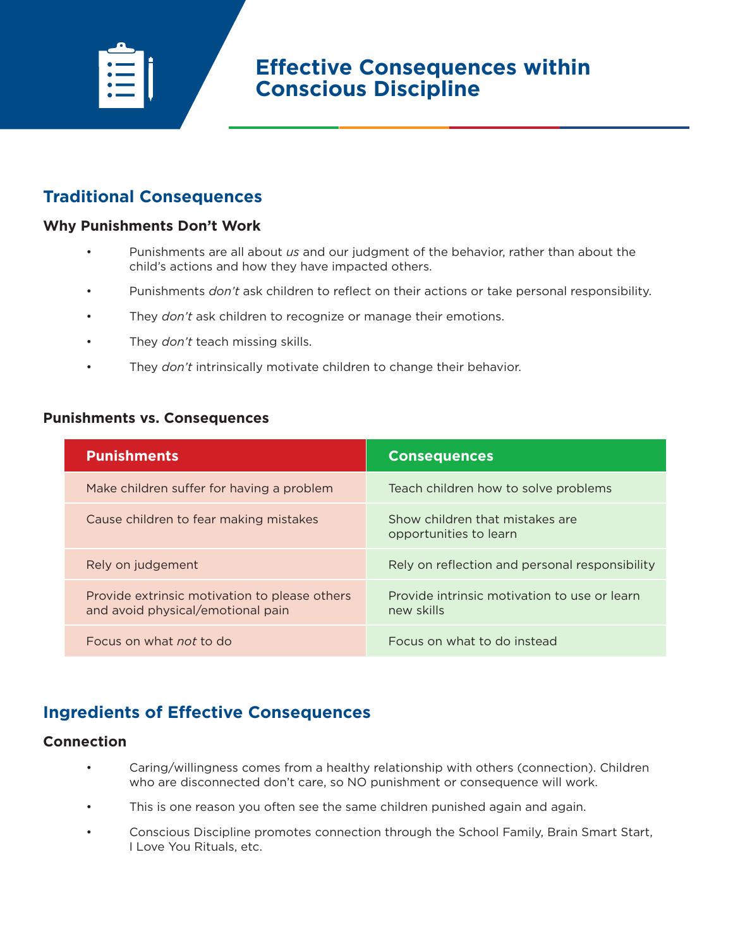

# **Traditional Consequences**

### **Why Punishments Don't Work**

- Punishments are all about *us* and our judgment of the behavior, rather than about the child's actions and how they have impacted others.
- Punishments *don't* ask children to reflect on their actions or take personal responsibility.
- They *don't* ask children to recognize or manage their emotions.
- They *don't* teach missing skills.
- They *don't* intrinsically motivate children to change their behavior.

#### **Punishments vs. Consequences**

| <b>Punishments</b>                                                                 | <b>Consequences</b>                                        |
|------------------------------------------------------------------------------------|------------------------------------------------------------|
| Make children suffer for having a problem                                          | Teach children how to solve problems                       |
| Cause children to fear making mistakes                                             | Show children that mistakes are<br>opportunities to learn  |
| Rely on judgement                                                                  | Rely on reflection and personal responsibility             |
| Provide extrinsic motivation to please others<br>and avoid physical/emotional pain | Provide intrinsic motivation to use or learn<br>new skills |
| Focus on what not to do                                                            | Focus on what to do instead                                |

## **Ingredients of Effective Consequences**

#### **Connection**

- Caring/willingness comes from a healthy relationship with others (connection). Children who are disconnected don't care, so NO punishment or consequence will work.
- This is one reason you often see the same children punished again and again.
- Conscious Discipline promotes connection through the School Family, Brain Smart Start, I Love You Rituals, etc.